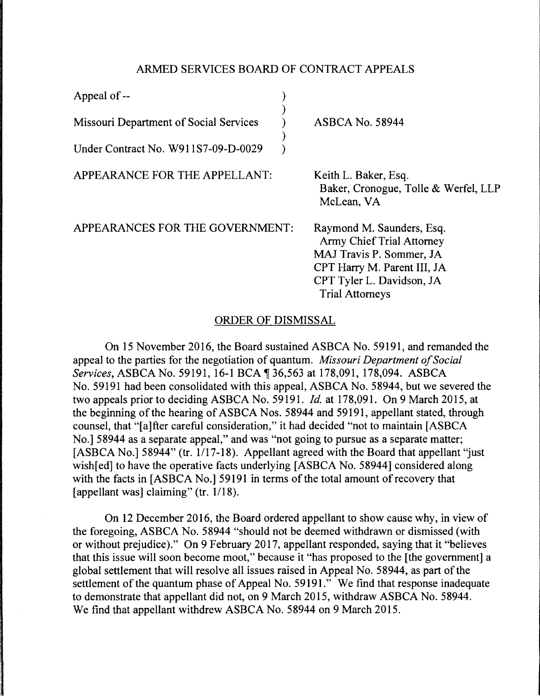## ARMED SERVICES BOARD OF CONTRACT APPEALS

| Appeal of --                           |                                                                                                                                                                                 |
|----------------------------------------|---------------------------------------------------------------------------------------------------------------------------------------------------------------------------------|
| Missouri Department of Social Services | <b>ASBCA No. 58944</b>                                                                                                                                                          |
| Under Contract No. W911S7-09-D-0029    |                                                                                                                                                                                 |
| APPEARANCE FOR THE APPELLANT:          | Keith L. Baker, Esq.<br>Baker, Cronogue, Tolle & Werfel, LLP<br>McLean, VA                                                                                                      |
| APPEARANCES FOR THE GOVERNMENT:        | Raymond M. Saunders, Esq.<br><b>Army Chief Trial Attorney</b><br>MAJ Travis P. Sommer, JA<br>CPT Harry M. Parent III, JA<br>CPT Tyler L. Davidson, JA<br><b>Trial Attorneys</b> |

## ORDER OF DISMISSAL

On 15 November 2016, the Board sustained ASBCA No. 59191, and remanded the appeal to the parties for the negotiation of quantum. *Missouri Department of Social Services, ASBCA No.* 59191, 16-1 BCA 1 36,563 at 178,091, 178,094. ASBCA No. 59191 had been consolidated with this appeal, ASBCA No. 58944, but we severed the two appeals prior to deciding ASBCA No. 59191. *Id.* at 178,091. On 9 March 2015, at the beginning of the hearing of ASBCA Nos. 58944 and 59191, appellant stated, through counsel, that "[a]fter careful consideration," it had decided "not to maintain [ASBCA No.] 58944 as a separate appeal," and was "not going to pursue as a separate matter; [ASBCA No.] 58944" (tr. 1/17-18). Appellant agreed with the Board that appellant "just" wish[ed] to have the operative facts underlying [ASBCA No. 58944] considered along with the facts in [ASBCA No.] 59191 in terms of the total amount of recovery that [appellant was] claiming" (tr. 1/18).

On 12 December 2016, the Board ordered appellant to show cause why, in view of the foregoing, ASBCA No. 58944 "should not be deemed withdrawn or dismissed (with or without prejudice)." On 9 February 2017, appellant responded, saying that it "believes that this issue will soon become moot," because it "has proposed to the [the government] a global settlement that will resolve all issues raised in Appeal No. 58944, as part of the settlement of the quantum phase of Appeal No. 59191." We find that response inadequate to demonstrate that appellant did not, on 9 March 2015, withdraw ASBCA No. 58944. We find that appellant withdrew ASBCA No. 58944 on 9 March 2015.